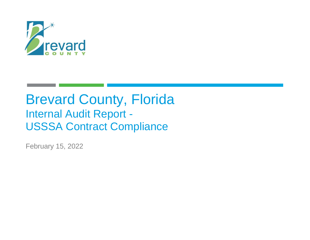

# Brevard County, Florida Internal Audit Report - USSSA Contract Compliance

February 15, 2022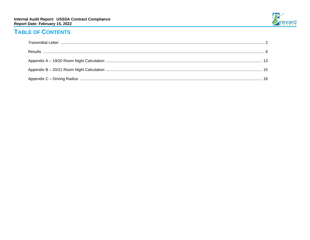

# **TABLE OF CONTENTS**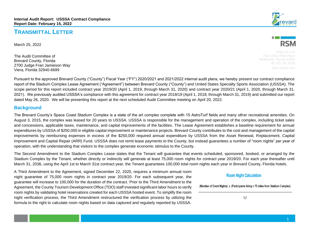### **TRANSMITTAL LETTER**

March 25, 2022

The Audit Committee of Brevard County, Florida 2700 Judge Fran Jamieson Way Viera, Florida 32940-6699





RSM US LLP 7351 Office Park Place Melbourne, Florida 32940 **O:** 321 751 6200

Pursuant to the approved Brevard County ("County") Fiscal Year ("FY") 2020/2021 and 2021/2022 internal audit plans, we hereby present our contract compliance report of the Stadium Complex Lease Agreement ("Agreement") between Brevard County ("County") and United States Specialty Sports Association (USSSA). The scope period for this report included contract year 2019/20 (April 1, 2019, through March 31, 2020) and contract year 2020/21 (April 1, 2020, through March 31, 2021). We previously audited USSSA's compliance with this agreement for contract year 2018/19 (April 1, 2018, through March 31, 2019) and submitted our report dated May 26, 2020. We will be presenting this report at the next scheduled Audit Committee meeting on April 20, 2022.

#### **Background**

The Brevard County's Space Coast Stadium Complex is a state of the art complex complete with 15 AstroTurf fields and many other recreational amenities. On August 3, 2015, the complex was leased for 20 years to USSSA. USSSA is responsible for the management and operation of the complex, including ticket sales and concessions, applicable taxes, maintenance, and capital improvements of the facilities. The Lease Agreement establishes a baseline requirement for annual expenditures by USSSA of \$250,000 in eligible capital improvement or maintenance projects. Brevard County contributes to the cost and management of the capital improvements by reimbursing expenses in excess of the \$250,000 required annual expenditure by USSSA from the Asset Renewal, Replacement, Capital Improvement and Capital Repair (ARR) Fund. USSSA does not remit lease payments to the County, but instead guarantees a number of "room nights" per year of operation, with the understanding that visitors to the complex generate economic stimulus to the County.

The Second Amendment to the Stadium Complex Lease states that the Tenant will guarantee that events scheduled, sponsored, booked, or arranged by the Stadium Complex by the Tenant, whether directly or indirectly will generate at least 75,000 room nights for contract year 2019/20. For each year thereafter until March 31, 2036, using the April 1st to March 31st contract year, the Tenant guarantees 100,000 total room nights each year in Brevard County, Florida hotels.

A Third Amendment to the Agreement, signed December 22, 2020, requires a minimum annual room night guarantee of 75,000 room nights in contract year 2019/20. For each subsequent year, the guarantee will increase to 100,000 for the duration of the contract. Prior to the Third Amendment to the Agreement, the County Tourism Development Office (TDO) staff invested significant labor hours to verify room nights by validating hotel reservations created for each USSSA hosted event. To simplify the room night verification process, the Third Amendment restructured the verification process by utilizing the formula to the right to calculate room nights based on data captured and regularly reported by USSSA.

#### **Room Night Calculation**

(Number of Event Nights) x (Participants living > 75 miles from Stadium Complex)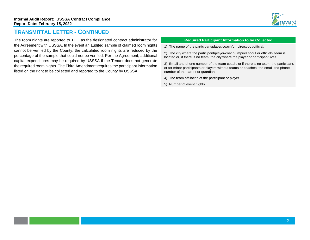

### **TRANSMITTAL LETTER - CONTINUED**

The room nights are reported to TDO as the designated contract administrator for the Agreement with USSSA. In the event an audited sample of claimed room nights cannot be verified by the County, the calculated room nights are reduced by the percentage of the sample that could not be verified. Per the Agreement, additional capital expenditures may be required by USSSA if the Tenant does not generate the required room nights. The Third Amendment requires the participant information listed on the right to be collected and reported to the County by USSSA.

#### **Required Participant Information to be Collected**

1) The name of the participant/player/coach/umpire/scout/official.

2) The city where the participant/player/coach/umpire/ scout or officials' team is located or, if there is no team, the city where the player or participant lives.

3) Email and phone number of the team coach, or if there is no team, the participant, or for minor participants or players without teams or coaches, the email and phone number of the parent or guardian.

- 4) The team affiliation of the participant or player.
- 5) Number of event nights.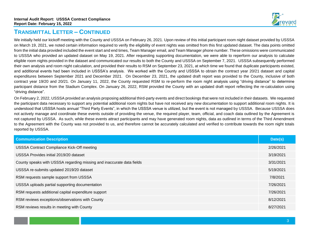

### **TRANSMITTAL LETTER – CONTINUED**

We initially held our kickoff meeting with the County and USSSA on February 26, 2021. Upon review of this initial participant room night dataset provided by USSSA on March 19, 2021, we noted certain information required to verify the eligibility of event nights was omitted from this first updated dataset. The data points omitted from the initial data provided included the event start and end times, Team Manager email, and Team Manager phone number. These omissions were communicated to USSSA who provided an updated dataset on May 19, 2021. After requesting supporting documentation, we were able to reperform our analysis to calculate eligible room nights provided in the dataset and communicated our results to both the County and USSSA on September 7, 2021. USSSA subsequently performed their own analysis and room night calculation, and provided their results to RSM on September 23, 2021, at which time we found that duplicate participants existed, and additional events had been included in USSSA's analysis. We worked with the County and USSSA to obtain the contract year 20/21 dataset and capital expenditures between September 2021 and December 2021. On December 23, 2021, the updated draft report was provided to the County, inclusive of both contract year 19/20 and 20/21. On January 11, 2022, the County requested RSM to re-perform the room night analysis using "driving distance" to determine participant distance from the Stadium Complex. On January 26, 2022, RSM provided the County with an updated draft report reflecting the re-calculation using "driving distance".

On February 2, 2022, USSSA provided an analysis proposing additional third-party events and direct bookings that were not included in their datasets. We requested the participant data necessary to support any potential additional room nights but have not received any new documentation to support additional room nights. It is understood that USSSA hosts annual "Third Party Events", in which the USSSA venue is utilized, but the event is not managed by USSSA. Because USSSA does not actively manage and coordinate these events outside of providing the venue, the required player, team, official, and coach data outlined by the Agreement is not captured by USSSA. As such, while these events attract participants and may have generated room nights, data as outlined in terms of the Third Amendment to the Agreement with the County was not provided to us, and therefore cannot be accurately calculated and verified to contribute towards the room night totals reported by USSSA.

| <b>Communication Description</b>                                      | Date(s)   |
|-----------------------------------------------------------------------|-----------|
| USSSA Contract Compliance Kick-Off meeting                            | 2/26/2021 |
| USSSA Provides initial 2019/20 dataset                                | 3/19/2021 |
| County speaks with USSSA regarding missing and inaccurate data fields | 3/31/2021 |
| USSSA re-submits updated 2019/20 dataset                              | 5/19/2021 |
| RSM requests sample support from USSSA                                | 7/8/2021  |
| USSSA uploads partial supporting documentation                        | 7/26/2021 |
| RSM requests additional capital expenditure support                   | 7/26/2021 |
| RSM reviews exceptions/observations with County                       | 8/12/2021 |
| RSM reviews results in meeting with County                            | 8/27/2021 |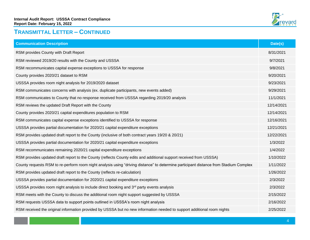

# **TRANSMITTAL LETTER – CONTINUED**

| <b>Communication Description</b>                                                                                                      | Date(s)    |
|---------------------------------------------------------------------------------------------------------------------------------------|------------|
| RSM provides County with Draft Report                                                                                                 | 8/31/2021  |
| RSM reviewed 2019/20 results with the County and USSSA                                                                                | 9/7/2021   |
| RSM recommunicates capital expense exceptions to USSSA for response                                                                   | 9/8/2021   |
| County provides 2020/21 dataset to RSM                                                                                                | 9/20/2021  |
| USSSA provides room night analysis for 2019/2020 dataset                                                                              | 9/23/2021  |
| RSM communicates concerns with analysis (ex. duplicate participants, new events added)                                                | 9/29/2021  |
| RSM communicates to County that no response received from USSSA regarding 2019/20 analysis                                            | 11/1/2021  |
| RSM reviews the updated Draft Report with the County                                                                                  | 12/14/2021 |
| County provides 2020/21 capital expenditures population to RSM                                                                        | 12/14/2021 |
| RSM communicates capital expense exceptions identified to USSSA for response                                                          | 12/16/2021 |
| USSSA provides partial documentation for 2020/21 capital expenditure exceptions                                                       | 12/21/2021 |
| RSM provides updated draft report to the County (inclusive of both contract years 19/20 & 20/21)                                      | 12/22/2021 |
| USSSA provides partial documentation for 2020/21 capital expenditure exceptions                                                       | 1/3/2022   |
| RSM recommunicates remaining 2020/21 capital expenditure exceptions                                                                   | 1/4/2022   |
| RSM provides updated draft report to the County (reflects County edits and additional support received from USSSA)                    | 1/10/2022  |
| County requests RSM to re-perform room night analysis using "driving distance" to determine participant distance from Stadium Complex | 1/11/2022  |
| RSM provides updated draft report to the County (reflects re-calculation)                                                             | 1/26/2022  |
| USSSA provides partial documentation for 2020/21 capital expenditure exceptions                                                       | 2/3/2022   |
| USSSA provides room night analysis to include direct booking and 3 <sup>rd</sup> party events analysis                                | 2/3/2022   |
| RSM meets with the County to discuss the additional room night support suggested by USSSA                                             | 2/15/2022  |
| RSM requests USSSA data to support points outlined in USSSA's room night analysis                                                     | 2/16/2022  |
| RSM received the original information provided by USSSA but no new information needed to support additional room nights               | 2/25/2022  |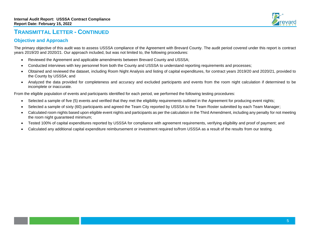

### **TRANSMITTAL LETTER - CONTINUED**

#### **Objective and Approach**

The primary objective of this audit was to assess USSSA compliance of the Agreement with Brevard County. The audit period covered under this report is contract years 2019/20 and 2020/21. Our approach included, but was not limited to, the following procedures:

- Reviewed the Agreement and applicable amendments between Brevard County and USSSA;
- Conducted interviews with key personnel from both the County and USSSA to understand reporting requirements and processes;
- Obtained and reviewed the dataset, including Room Night Analysis and listing of capital expenditures, for contract years 2019/20 and 2020/21, provided to the County by USSSA; and
- Analyzed the data provided for completeness and accuracy and excluded participants and events from the room night calculation if determined to be incomplete or inaccurate.

From the eligible population of events and participants identified for each period, we performed the following testing procedures:

- Selected a sample of five (5) events and verified that they met the eligibility requirements outlined in the Agreement for producing event nights;
- Selected a sample of sixty (60) participants and agreed the Team City reported by USSSA to the Team Roster submitted by each Team Manager;
- Calculated room nights based upon eligible event nights and participants as per the calculation in the Third Amendment, including any penalty for not meeting the room night guaranteed minimum;
- Tested 100% of capital expenditures reported by USSSA for compliance with agreement requirements, verifying eligibility and proof of payment; and
- Calculated any additional capital expenditure reimbursement or investment required to/from USSSA as a result of the results from our testing.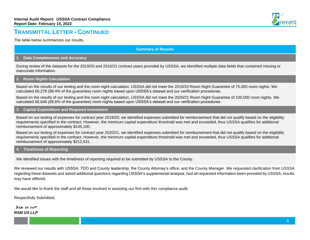

### **TRANSMITTAL LETTER - CONTINUED**

The table below summarizes our results.

#### **Summary of Results**

#### **1. Data Completeness and Accuracy**

During review of the datasets for the 2019/20 and 2010/21 contract years provided by USSSA, we identified multiple data fields that contained missing or inaccurate information.

#### **2. Room Nights Calculation**

Based on the results of our testing and the room night calculation, USSSA did not meet the 2019/20 Room Night Guarantee of 75,000 room nights. We calculated 66,278 (88.4% of the guarantee) room nights based upon USSSA's dataset and our verification procedures.

Based on the results of our testing and the room night calculation, USSSA did not meet the 2020/21 Room Night Guarantee of 100,000 room nights. We calculated 66,646 (66.6% of the guarantee) room nights based upon USSSA's dataset and our verification procedures.

#### **3. Capital Expenditure and Required Investment**

Based on our testing of expenses for contract year 2019/20, we identified expenses submitted for reimbursement that did not qualify based on the eligibility requirements specified in the contract. However, the minimum capital expenditure threshold was met and exceeded, thus USSSA qualifies for additional reimbursement of approximately \$145,100.

Based on our testing of expenses for contract year 2020/21, we identified expenses submitted for reimbursement that did not qualify based on the eligibility requirements specified in the contract. However, the minimum capital expenditure threshold was met and exceeded, thus USSSA qualifies for additional reimbursement of approximately \$212,531.

#### **4. Timeliness of Reporting**

We identified issues with the timeliness of reporting required to be submitted by USSSA to the County.

We reviewed our results with USSSA, TDO and County leadership, the County Attorney's office, and the County Manager. We requested clarification from USSSA regarding these datasets and asked additional questions regarding USSSA's supplemental analysis, had all requested information been provided by USSSA, results may have differed.

We would like to thank the staff and all those involved in assisting our firm with this compliance audit.

Respectfully Submitted,

**RSM US LLP** *RSM US LLP*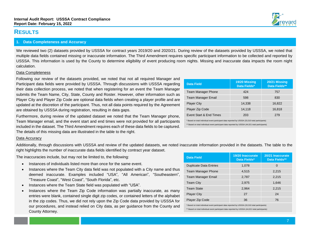### **RESULTS**

#### **1. Data Completeness and Accuracy**

We reviewed two (2) datasets provided by USSSA for contract years 2019/20 and 2020/21. During review of the datasets provided by USSSA, we noted that multiple data fields contained missing or inaccurate information. The Third Amendment requires specific participant information to be collected and reported by USSSA. This information is used by the County to determine eligibility of event producing room nights. Missing and inaccurate data impacts the room night calculation.

#### Data Completeness

Following our review of the datasets provided, we noted that not all required Manager and Participant data fields were provided by USSSA. Through discussions with USSSA regarding their data collection process, we noted that when registering for an event the Team Manager submits the Team Name, City, State, County and Roster. However, other information such as Player City and Player Zip Code are optional data fields when creating a player profile and are updated at the discretion of the participant. Thus, not all data points required by the Agreement are obtained by USSSA during registration, resulting in data gaps.

Furthermore, during review of the updated dataset we noted that the Team Manager phone, Team Manager email, and the event start and end times were not provided for all participants included in the dataset. The Third Amendment requires each of these data fields to be captured. The details of this missing data are illustrated in the table to the right.

#### Data Accuracy

Additionally, through discussions with USSSA and review of the updated datasets, we noted inaccurate information provided in the datasets. The table to the right highlights the number of inaccurate data fields identified by contract year dataset.

The inaccuracies include, but may not be limited to, the following:

- Instances of individuals listed more than once for the same event.
- Instances where the Team City data field was not populated with a City name and thus deemed inaccurate. Examples included "USA", "All American", "Southeastern", "Treasure Coast", "West Coast", "South Florida", etc.
- Instances where the Team State field was populated with "USA".
- Instances where the Team Zip Code information was partially inaccurate, as many entries were blank, contained single digit zip codes, or contained letters of the alphabet in the zip codes. Thus, we did not rely upon the Zip Code data provided by USSSA for our procedures, and instead relied on City data, as per guidance from the County and County Attorney.

| <b>Data Field</b>                                                                                                                                                                                     | 19/20 Missing<br>Data Fields* | 20/21 Missing<br>Data Fields** |  |  |  |
|-------------------------------------------------------------------------------------------------------------------------------------------------------------------------------------------------------|-------------------------------|--------------------------------|--|--|--|
| <b>Team Manager Phone</b>                                                                                                                                                                             | 424                           | 757                            |  |  |  |
| Team Manager Email                                                                                                                                                                                    | 598                           | 830                            |  |  |  |
| <b>Player City</b>                                                                                                                                                                                    | 14.338                        | 16,822                         |  |  |  |
| Player Zip Code                                                                                                                                                                                       | 14,118                        | 16,818                         |  |  |  |
| Event Start & End Times<br>279<br>203                                                                                                                                                                 |                               |                                |  |  |  |
| * Based on total individual event participant data reported by USSSA (33,310 total participants)<br>** Based on total individual event participant data reported by USSSA (44,021 total participants) |                               |                                |  |  |  |

| <b>Data Field</b>             | 19/20 Inaccurate<br>Data Fields* | 20/21 Inaccurate<br>Data Fields** |
|-------------------------------|----------------------------------|-----------------------------------|
| <b>Duplicate Data Entries</b> | 1,078                            | 0                                 |
| <b>Team Manager Phone</b>     | 4,515                            | 2,215                             |
| <b>Team Manager Email</b>     | 2,787                            | 2,215                             |
| <b>Team City</b>              | 2,975                            | 1,646                             |
| <b>Team State</b>             | 2.964                            | 2,215                             |
| <b>Player City</b>            | 27                               | 24                                |
| <b>Player Zip Code</b>        | 36                               | 76                                |

\* Based on total individual event participant data reported by USSSA (33,310 total participants) \*\* Based on total individual event participant data reported by USSSA (44,021 total participants)

[7](file:///C:/Users/E034190/AppData/Local/Microsoft/Windows/INetCache/Content.Outlook/F6X74YLG/page%20number)

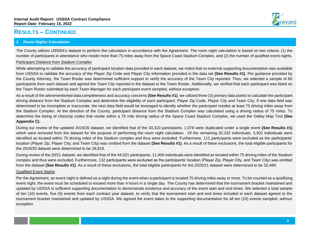

The County utilizes USSSA's dataset to perform the calculation in accordance with the Agreement. The room night calculation is based on two criteria: (1) the number of participants in attendance who reside more than 75 miles away from the Space Coast Stadium Complex, and (2) the number of qualified event nights.

#### Participant Distance from Stadium Complex

While attempting to validate the accuracy of participant location data provided in each dataset, we noted that no external supporting documentation was available from USSSA to validate the accuracy of the Player Zip Code and Player City information provided in the data set **(See Results #1)**. Per guidance provided by the County Attorney, the Team Roster was determined sufficient support to verify the accuracy of the Team City reported. Thus, we selected a sample of 60 participants from each dataset and agreed the Team City reported in the dataset to the Team Roster. Additionally, we verified that each participant was listed on the Team Roster submitted by each Team Manager for each participant event sampled, without exception.

As a result of the aforementioned data completeness and accuracy concerns **(See Results #1)**, we utilized three (3) primary data points to calculate the participant driving distance from the Stadium Complex and determine the eligibility of each participant: Player Zip Code, Player City and Team City. If one data field was determined to be incomplete or inaccurate, the next data field would be leveraged to identify whether the participant resides at least 75 driving miles away from the Stadium Complex. At the direction of the County, participant distance from the Stadium Complex was calculated using a driving radius of 75 miles. To determine the listing of cities/zip codes that reside within a 75 mile driving radius of the Space Coast Stadium Complex, we used the Oalley Map Tool **(See Appendix C).**

During our review of the updated 2019/20 dataset, we identified that of the 33,310 participants, 1,078 were duplicated under a single event **(See Results #1)**  which were removed from the dataset for the purpose of performing the room night calculation. Of the remaining 32,232 individuals, 3,302 individuals were identified as located within 75 driving miles of the Stadium complex and thus were excluded. Furthermore, 111 participants were excluded as the participants' location (Player Zip, Player City, and Team City) was omitted from the dataset **(See Results #1)**. As a result of these exclusions, the total eligible participants for the 2019/20 dataset were determined to be 28,819.

During review of the 20/21 dataset, we identified that of the 44,021 participants, 11,400 individuals were identified as located within 75 driving miles of the Stadium complex and thus were excluded. Furthermore, 132 participants were excluded as the participants' location (Player Zip, Player City, and Team City) was omitted from the dataset **(See Results #1)**. As a result of these exclusions, the total eligible participants for the 2020/21 dataset were determined to be 32,489.

#### Qualified Event Nights

Per the Agreement, an event night is defined as a night during the event when a participant is located 75 driving miles away or more. To be counted as a qualifying event night, the event must be scheduled to exceed more than 4 hours in a single day. The County has determined that the tournament bracket maintained and updated by USSSA is sufficient supporting documentation to demonstrate existence and accuracy of the event start and end times. We selected a total sample of ten (10) events, five (5) events from each contract year dataset, to verify that the tournament start and end times included in each dataset agreed to the tournament bracket maintained and updated by USSSA. We agreed the event dates to the supporting documentation for all ten (10) events sampled, without exception.

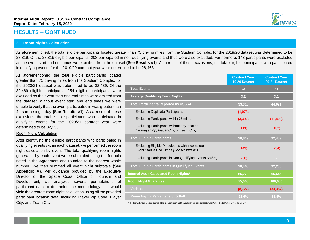#### **2. Room Nights Calculation**

As aforementioned, the total eligible participants located greater than 75 driving miles from the Stadium Complex for the 2019/20 dataset was determined to be 28,819. Of the 28,819 eligible participants, 208 participated in non-qualifying events and thus were also excluded. Furthermore, 143 participants were excluded as the event start and end times were omitted from the dataset **(See Results #1)**. As a result of these exclusions, the total eligible participants who participated in qualifying events for the 2019/20 contract year were determined to be 28,468.

As aforementioned, the total eligible participants located greater than 75 driving miles from the Stadium Complex for the 2020/21 dataset was determined to be 32,489. Of the 32,489 eligible participants, 254 eligible participants were excluded as the event start and end times were omitted from the dataset. Without event start and end times we were unable to verify that the event participated in was greater than 4hrs in a single day **(See Results #1)**. As a result of these exclusions, the total eligible participants who participated in qualifying events for the 2020/21 contract year were determined to be 32,235.

#### Room Night Calculation

After identifying the eligible participants who participated in qualifying events within each dataset, we performed the room night calculation by event. The total qualifying room nights generated by each event were subtotaled using the formula noted in the Agreement and rounded to the nearest whole number. We then summed all event night subtotals **(See Appendix A)**. Per guidance provided by the Executive Director of the Space Coast Office of Tourism and Development, we analyzed several permutations of participant data to determine the methodology that would yield the greatest room night calculation using all the provided participant location data, including Player Zip Code, Player City, and Team City.

|                                                                                             | <b>Contract Year</b><br>19-20 Dataset | <b>Contract Year</b><br>20-21 Dataset |
|---------------------------------------------------------------------------------------------|---------------------------------------|---------------------------------------|
| <b>Total Events</b>                                                                         | 43                                    | 61                                    |
| <b>Average Qualifying Event Nights</b>                                                      | 3.2                                   | 3.1                                   |
| <b>Total Participants Reported by USSSA</b>                                                 | 33,310                                | 44,021                                |
| <b>Excluding Duplicate Participants</b>                                                     | (1,078)                               |                                       |
| Excluding Participants within 75 miles                                                      | (3, 302)                              | (11, 400)                             |
| Excluding Participants without any location<br>(i.e Player Zip, Player City, or Team City)  | (111)                                 | (132)                                 |
| <b>Total Eligible Participants</b>                                                          | 28,819                                | 32,489                                |
| Excluding Eligible Participants with incomplete<br>Event Start & End Times (See Results #1) | (143)                                 | (254)                                 |
| Excluding Participants in Non-Qualifying Events (>4hrs)                                     | (208)                                 | $\sim$                                |
| <b>Total Eligible Participants in Qualifying Events</b>                                     | 28,468                                | 32,235                                |
| Internal Audit Calculated Room Nights*                                                      | 66,278                                | 66,646                                |
| <b>Room Night Guarantee</b>                                                                 | 75,000                                | 100,000                               |
| <b>Variance</b>                                                                             | (8, 722)                              | (33, 354)                             |
| Room Night - Percentage Shortfall                                                           | 11.6%                                 | 33.4%                                 |

\* The hierarchy that yielded the yield the greatest room night calculation for both datasets was Player Zip to Player City to Team City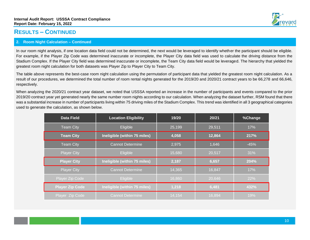

#### **2. Room Night Calculation – Continued**

In our room night analysis, if one location data field could not be determined, the next would be leveraged to identify whether the participant should be eligible. For example, if the Player Zip Code was determined inaccurate or incomplete, the Player City data field was used to calculate the driving distance from the Stadium Complex. If the Player City field was determined inaccurate or incomplete, the Team City data field would be leveraged. The hierarchy that yielded the greatest room night calculation for both datasets was Player Zip to Player City to Team City.

The table above represents the best-case room night calculation using the permutation of participant data that yielded the greatest room night calculation. As a result of our procedures, we determined the total number of room rental nights generated for the 2019/20 and 2020/21 contract years to be 66,278 and 66,646, respectively.

When analyzing the 2020/21 contract year dataset, we noted that USSSA reported an increase in the number of participants and events compared to the prior 2019/20 contract year yet generated nearly the same number room nights according to our calculation. When analyzing the dataset further, RSM found that there was a substantial increase in number of participants living within 75 driving miles of the Stadium Complex. This trend was identified in all 3 geographical categories used to generate the calculation, as shown below.

| <b>Data Field</b>                                  | <b>Location Eligibility</b>  | 19/20  | 20/21  | %Change |
|----------------------------------------------------|------------------------------|--------|--------|---------|
| <b>Team City</b>                                   | Eligible                     |        | 29,511 | 17%     |
| <b>Team City</b>                                   | Ineligible (within 75 miles) | 4,058  | 12,864 | 217%    |
| <b>Cannot Determine</b><br><b>Team City</b>        |                              | 2,975  | 1,646  | $-45%$  |
| <b>Player City</b>                                 | Eligible                     | 15,680 | 20,517 | 31%     |
| Ineligible (within 75 miles)<br><b>Player City</b> |                              |        |        |         |
|                                                    |                              | 2,187  | 6,657  | 204%    |
| <b>Player City</b>                                 | <b>Cannot Determine</b>      | 14,365 | 16,847 | 17%     |
| Player Zip Code                                    | <b>Eligible</b>              | 16,860 | 20,646 | 22%     |
| <b>Player Zip Code</b>                             | Ineligible (within 75 miles) | 1,218  | 6,481  | 432%    |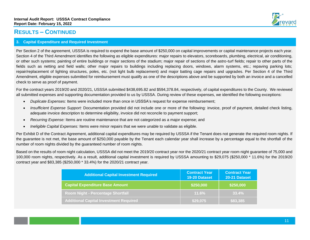#### **3. Capital Expenditure and Required Investment**

Per Section 2 of the agreement, USSSA is required to expend the base amount of \$250,000 on capital improvements or capital maintenance projects each year. Section 4 of the Third Amendment identifies the following as eligible expenditures: major repairs to elevators, scoreboards, plumbing, electrical, air conditioning, or other such systems; painting of entire buildings or major sections of the stadium; major repair of sections of the astro-turf fields; repair to other parts of the fields such as netting and field walls; other major repairs to buildings including replacing doors, windows, alarm systems, etc.; repaving parking lots; repair/replacement of lighting structures, poles, etc. (not light bulb replacement) and major batting cage repairs and upgrades. Per Section 4 of the Third Amendment, eligible expenses submitted for reimbursement must qualify as one of the descriptions above and be supported by both an invoice and a cancelled check to serve as proof of payment.

For the contract years 2019/20 and 2020/21, USSSA submitted \$438,695.82 and \$594,378.84, respectively, of capital expenditures to the County. We reviewed all submitted expenses and supporting documentation provided to us by USSSA. During review of these expenses, we identified the following exceptions:

- *Duplicate Expenses:* Items were included more than once in USSSA's request for expense reimbursement;
- *Insufficient Expense Support:* Documentation provided did not include one or more of the following: invoice, proof of payment, detailed check listing, adequate invoice description to determine eligibility, invoice did not reconcile to payment support;
- *Recurring Expense:* Items are routine maintenance that are not categorized as a major expense; and
- *Ineligible Capital Expenses:* Items were minor repairs that we were unable to validate as eligible.

Per Exhibit D of the Contract Agreement, additional capital expenditures may be required by USSSA if the Tenant does not generate the required room nights. If the guarantee is not met, the base amount of \$250,000 payable by the Tenant each calendar year shall increase by a percentage equal to the shortfall of the number of room nights divided by the guaranteed number of room nights.

Based on the results of room night calculation, USSSA did not meet the 2019/20 contract year nor the 2020/21 contract year room night guarantee of 75,000 and 100,000 room nights, respectively. As a result, additional capital investment is required by USSSA amounting to \$29,075 (\$250,000 \* 11.6%) for the 2019/20 contract year and \$83,385 (\$250,000 \* 33.4%) for the 2020/21 contract year.

| <b>Additional Capital Investment Required</b> | <b>Contract Year</b><br>19-20 Dataset | <b>Contract Year</b><br>20-21 Dataset |
|-----------------------------------------------|---------------------------------------|---------------------------------------|
| <b>Capital Expenditure Base Amount</b>        | \$250,000                             | \$250,000                             |
| Room Night - Percentage Shortfall             | 11.6%                                 | 33.4%                                 |
| <b>Additional Capital Investment Required</b> | \$29,075                              | \$83,385                              |

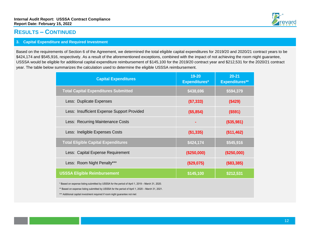

#### **3. Capital Expenditure and Required Investment**

Based on the requirements of Section 6 of the Agreement, we determined the total eligible capital expenditures for 2019/20 and 2020/21 contract years to be \$424,174 and \$545,916, respectively. As a result of the aforementioned exceptions, combined with the impact of not achieving the room night guarantee, USSSA would be eligible for additional capital expenditure reimbursement of \$145,100 for the 2019/20 contract year and \$212,531 for the 2020/21 contract year. The table below summarizes the calculation used to determine the eligible USSSA reimbursement.

| <b>Capital Expenditures</b>                                                                                                                                                                                                                                                       | 19-20<br><b>Expenditures*</b> | $20 - 21$<br><b>Expenditures**</b> |
|-----------------------------------------------------------------------------------------------------------------------------------------------------------------------------------------------------------------------------------------------------------------------------------|-------------------------------|------------------------------------|
| <b>Total Capital Expenditures Submitted</b>                                                                                                                                                                                                                                       | \$438,696                     | \$594,379                          |
| Less: Duplicate Expenses                                                                                                                                                                                                                                                          | (\$7,333)                     | (\$429)                            |
| Less: Insufficient Expense Support Provided                                                                                                                                                                                                                                       | (\$5,854)                     | (\$591)                            |
| Less: Recurring Maintenance Costs                                                                                                                                                                                                                                                 |                               | (\$35,981)                         |
| Less: Ineligible Expenses Costs                                                                                                                                                                                                                                                   | (\$1,335)                     | (\$11,462)                         |
| <b>Total Eligible Capital Expenditures</b>                                                                                                                                                                                                                                        | \$424,174                     | \$545,916                          |
| Less: Capital Expense Requirement                                                                                                                                                                                                                                                 | (\$250,000)                   | (\$250,000)                        |
| Less: Room Night Penalty***                                                                                                                                                                                                                                                       | (\$29,075)                    | (\$83,385)                         |
| <b>USSSA Eligible Reimbursement</b>                                                                                                                                                                                                                                               | \$145,100                     | \$212,531                          |
| * Based on expense listing submitted by USSSA for the period of April 1, 2019 - March 31, 2020.<br>** Based on expense listing submitted by USSSA for the period of April 1, 2020 – March 31, 2021.<br>*** Additional capital investment required if room night quarantee not met |                               |                                    |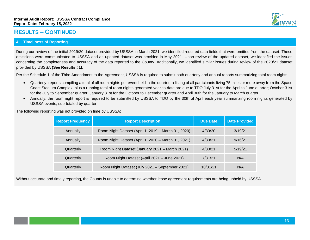

During our review of the initial 2019/20 dataset provided by USSSA in March 2021, we identified required data fields that were omitted from the dataset. These omissions were communicated to USSSA and an updated dataset was provided in May 2021. Upon review of the updated dataset, we identified the issues concerning the completeness and accuracy of the data reported to the County. Additionally, we identified similar issues during review of the 2020/21 dataset provided by USSSA **(See Results #1)**.

Per the Schedule 1 of the Third Amendment to the Agreement, USSSA is required to submit both quarterly and annual reports summarizing total room nights.

- Quarterly, reports compiling a total of all room nights per event held in the quarter, a listing of all participants living 75 miles or more away from the Space Coast Stadium Complex, plus a running total of room nights generated year-to-date are due to TDO July 31st for the April to June quarter; October 31st for the July to September quarter; January 31st for the October to December quarter and April 30th for the January to March quarter.
- Annually, the room night report is required to be submitted by USSSA to TDO by the 30th of April each year summarizing room nights generated by USSSA events, sub-totaled by quarter.

The following reporting was not provided on time by USSSA:

| <b>Report Frequency</b> | <b>Report Description</b>                           | <b>Due Date</b> | <b>Date Provided</b> |
|-------------------------|-----------------------------------------------------|-----------------|----------------------|
| Annually                | Room Night Dataset (April 1, 2019 - March 31, 2020) | 4/30/20         | 3/19/21              |
| Annually                | Room Night Dataset (April 1, 2020 - March 31, 2021) | 4/30/21         | 9/16/21              |
| Quarterly               | Room Night Dataset (January 2021 - March 2021)      | 4/30/21         | 5/19/21              |
| Quarterly               | Room Night Dataset (April 2021 - June 2021)         | 7/31/21         | N/A                  |
| Quarterly               | Room Night Dataset (July 2021 - September 2021)     | 10/31/21        | N/A                  |

Without accurate and timely reporting, the County is unable to determine whether lease agreement requirements are being upheld by USSSA.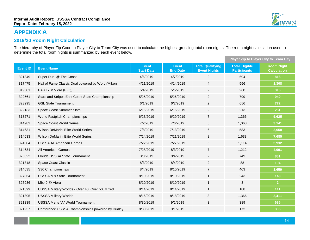# **APPENDIX A**

### **2019/20 Room Night Calculation**

The hierarchy of Player Zip Code to Player City to Team City was used to calculate the highest grossing total room nights. The room night calculation used to determine the total room nights is summarized by each event below.

|                 |                                                  |                                   |                                 |                                                | Player Zip to Player City to Team City       |                                         |
|-----------------|--------------------------------------------------|-----------------------------------|---------------------------------|------------------------------------------------|----------------------------------------------|-----------------------------------------|
| <b>Event ID</b> | <b>Event Name</b>                                | <b>Event</b><br><b>Start Date</b> | <b>Event</b><br><b>End Date</b> | <b>Total Qualifying</b><br><b>Event Nights</b> | <b>Total Eligible</b><br><b>Participants</b> | <b>Room Night</b><br><b>Calculation</b> |
| 321349          | Super Dual @ The Coast                           | 4/6/2019                          | 4/7/2019                        | 2                                              | 694                                          | 816                                     |
| 317475          | Hall of Fame Classic Dual powered by Worth/Miken | 4/11/2019                         | 4/14/2019                       | $\overline{4}$                                 | 556                                          | 1,308                                   |
| 319581          | PARTY in Viera (PFQ)                             | 5/4/2019                          | 5/5/2019                        | $\overline{2}$                                 | 268                                          | 315                                     |
| 322561          | Stars and Stripes East Coast State Championship  | 5/25/2019                         | 5/26/2019                       | $\overline{c}$                                 | 799                                          | 940                                     |
| 323995          | <b>GSL State Tournament</b>                      | 6/1/2019                          | 6/2/2019                        | $\overline{2}$                                 | 656                                          | 772                                     |
| 322133          | Space Coast Summer Slam                          | 6/15/2019                         | 6/16/2019                       | 2                                              | 213                                          | 251                                     |
| 313271          | World Fastpitch Championships                    | 6/23/2019                         | 6/29/2019                       | $\overline{7}$                                 | 1,366                                        | 5,625                                   |
| 314983          | Space Coast World Series                         | 7/2/2019                          | 7/6/2019                        | 5                                              | 1,068                                        | 3,141                                   |
| 314631          | Wilson DeMarini Elite World Series               | 7/8/2019                          | 7/13/2019                       | 6                                              | 583                                          | 2,058                                   |
| 314633          | Wilson DeMarini Elite World Series               | 7/14/2019                         | 7/21/2019                       | 8                                              | 1,633                                        | 7,685                                   |
| 324804          | <b>USSSA All American Games</b>                  | 7/22/2019                         | 7/27/2019                       | 6                                              | 1,114                                        | 3,932                                   |
| 314634          | All American Games                               | 7/28/2019                         | 8/3/2019                        | $\overline{7}$                                 | 1,212                                        | 4,991                                   |
| 326822          | Florida USSSA State Tournament                   | 8/3/2019                          | 8/4/2019                        | 2                                              | 749                                          | 881                                     |
| 321318          | Space Coast Classic                              | 8/3/2019                          | 8/4/2019                        | $\overline{c}$                                 | 88                                           | 104                                     |
| 314635          | S30 Championships                                | 8/4/2019                          | 8/10/2019                       | $\overline{7}$                                 | 403                                          | 1,659                                   |
| 327864          | <b>USSSA Mix State Tournament</b>                | 8/10/2019                         | 8/10/2019                       | $\mathbf{1}$                                   | 243                                          | 143                                     |
| 327936          | Mlx40 @ Viera                                    | 8/10/2019                         | 8/10/2019                       | $\mathbf{1}$                                   | 3                                            | 2 <sup>1</sup>                          |
| 321399          | USSSA Military Worlds - Over 40, Over 50, Mixed  | 8/14/2019                         | 8/14/2019                       | $\mathbf{1}$                                   | 188                                          | 111                                     |
| 321395          | <b>USSSA Military Worlds</b>                     | 8/16/2019                         | 8/18/2019                       | 3                                              | 1,366                                        | 2,411                                   |
| 321239          | <b>USSSA Mens "A" World Tournament</b>           | 8/30/2019                         | 9/1/2019                        | $\mathbf{3}$                                   | 389                                          | 686                                     |
| 321237          | Conference USSSA Championships powered by Dudley | 8/30/2019                         | 9/1/2019                        | 3                                              | 173                                          | 305                                     |

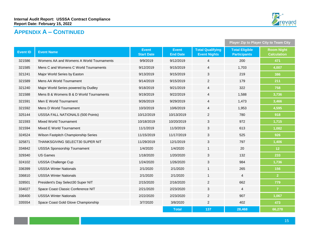

# **APPENDIX A – CONTINUED**

|                 |                                          |                                   |                                 |                                                | <b>Player Zip to Player City to Team City</b> |                                         |
|-----------------|------------------------------------------|-----------------------------------|---------------------------------|------------------------------------------------|-----------------------------------------------|-----------------------------------------|
| <b>Event ID</b> | <b>Event Name</b>                        | <b>Event</b><br><b>Start Date</b> | <b>Event</b><br><b>End Date</b> | <b>Total Qualifying</b><br><b>Event Nights</b> | <b>Total Eligible</b><br><b>Participants</b>  | <b>Room Night</b><br><b>Calculation</b> |
| 321586          | Womens AA and Womens A World Tournaments | 9/9/2019                          | 9/12/2019                       | $\overline{4}$                                 | 200                                           | 471                                     |
| 321585          | Mens C and Womens C World Tournaments    | 9/12/2019                         | 9/15/2019                       | $\overline{4}$                                 | 1,703                                         | 4,007                                   |
| 321241          | Major World Series by Easton             | 9/13/2019                         | 9/15/2019                       | 3                                              | 219                                           | 386                                     |
| 321589          | Mens AA World Tournament                 | 9/14/2019                         | 9/15/2019                       | $\mathbf{2}$                                   | 179                                           | 211                                     |
| 321240          | Major World Series powered by Dudley     | 9/18/2019                         | 9/21/2019                       | $\overline{4}$                                 | 322                                           | 758                                     |
| 321588          | Mens B & Womens B & D World Tournaments  | 9/19/2019                         | 9/22/2019                       | $\overline{4}$                                 | 1,588                                         | 3,736                                   |
| 321591          | Men E World Tournament                   | 9/26/2019                         | 9/29/2019                       | $\overline{4}$                                 | 1,473                                         | 3,466                                   |
| 321592          | Mens D World Tournament                  | 10/3/2019                         | 10/6/2019                       | 4                                              | 1,953                                         | 4,595                                   |
| 325144          | USSSA FALL NATIONALS (500 Points)        | 10/12/2019                        | 10/13/2019                      | $\overline{2}$                                 | 780                                           | 918                                     |
| 321593          | <b>Mixed World Tournament</b>            | 10/18/2019                        | 10/20/2019                      | 3                                              | 972                                           | 1,715                                   |
| 321594          | Mixed E World Tournament                 | 11/1/2019                         | 11/3/2019                       | 3                                              | 613                                           | 1,082                                   |
| 324524          | Wilson Fastpitch Championship Series     | 11/15/2019                        | 11/17/2019                      | 3                                              | 525                                           | 926                                     |
| 325871          | THANKSGIVING SELECT30 SUPER NIT          | 11/29/2019                        | 12/1/2019                       | 3                                              | 797                                           | 1,406                                   |
| 334842          | <b>USSSA Sponsorship Tournament</b>      | 1/4/2020                          | 1/4/2020                        | $\mathbf{1}$                                   | 20                                            | 12                                      |
| 329340          | <b>US Games</b>                          | 1/18/2020                         | 1/20/2020                       | 3                                              | 132                                           | 233                                     |
| 324102          | <b>USSSA Challenge Cup</b>               | 1/24/2020                         | 1/26/2020                       | $\sqrt{3}$                                     | 984                                           | 1,736                                   |
| 336399          | <b>USSSA Winter Nationals</b>            | 2/1/2020                          | 2/1/2020                        | $\mathbf{1}$                                   | 265                                           | 156                                     |
| 336810          | <b>USSSA Winter Nationals</b>            | 2/1/2020                          | 2/1/2020                        | $\mathbf{1}$                                   | $\overline{4}$                                | 2 <sup>1</sup>                          |
| 328501          | President's Day Select30 Super NIT       | 2/15/2020                         | 2/16/2020                       | $\mathbf{2}$                                   | 662                                           | 779                                     |
| 334027          | Space Coast Classic Conference NIT       | 2/21/2020                         | 2/23/2020                       | 3                                              | $\overline{4}$                                | $\overline{7}$                          |
| 336400          | <b>USSSA Winter Nationals</b>            | 2/22/2020                         | 2/23/2020                       | $\sqrt{2}$                                     | 907                                           | 1,067                                   |
| 335554          | Space Coast Gold Glove Championship      | 3/7/2020                          | 3/8/2020                        | $\mathbf{2}$                                   | 402                                           | 473                                     |
|                 |                                          |                                   | <b>Total</b>                    | 137                                            | 28,468                                        | 66,278                                  |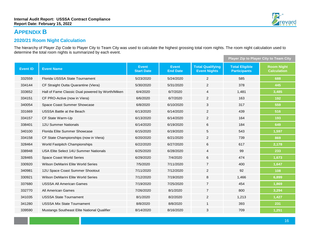# **APPENDIX B**

### **2020/21 Room Night Calculation**

The hierarchy of Player Zip Code to Player City to Team City was used to calculate the highest grossing total room nights. The room night calculation used to determine the total room nights is summarized by each event.

|                 |                                                  |                                   |                                 |                                                |                                              | <b>Player Zip to Player City to Team City</b> |  |
|-----------------|--------------------------------------------------|-----------------------------------|---------------------------------|------------------------------------------------|----------------------------------------------|-----------------------------------------------|--|
| <b>Event ID</b> | <b>Event Name</b>                                | <b>Event</b><br><b>Start Date</b> | <b>Event</b><br><b>End Date</b> | <b>Total Qualifying</b><br><b>Event Nights</b> | <b>Total Eligible</b><br><b>Participants</b> | <b>Room Night</b><br><b>Calculation</b>       |  |
| 332559          | Florida USSSA State Tournament                   | 5/23/2020                         | 5/24/2020                       | $\overline{2}$                                 | 585                                          | 688                                           |  |
| 334144          | CF Straight Outta Quarantine (Viera)             | 5/30/2020                         | 5/31/2020                       | $\overline{2}$                                 | 378                                          | 445                                           |  |
| 333652          | Hall of Fame Classic Dual powered by Worth/Miken | 6/4/2020                          | 6/7/2020                        | $\overline{4}$                                 | 1,481                                        | 3,485                                         |  |
| 334151          | CF PRO-Active (now in Viera)                     | 6/6/2020                          | 6/7/2020                        | $\overline{2}$                                 | 163                                          | 192                                           |  |
| 340054          | Space Coast Summer Showcase                      | 6/8/2020                          | 6/10/2020                       | 3                                              | 317                                          | 559                                           |  |
| 331669          | USSSA Battle at the Beach                        | 6/13/2020                         | 6/14/2020                       | $\overline{2}$                                 | 439                                          | 516                                           |  |
| 334157          | CF State Warm-Up                                 | 6/13/2020                         | 6/14/2020                       | $\overline{2}$                                 | 164                                          | 193                                           |  |
| 338401          | <b>12U Summer Nationals</b>                      | 6/14/2020                         | 6/19/2020                       | 6                                              | 184                                          | 649                                           |  |
| 340100          | Florida Elite Summer Showcase                    | 6/15/2020                         | 6/19/2020                       | $\sqrt{5}$                                     | 543                                          | 1,597                                         |  |
| 334158          | CF State Championships (now in Viera)            | 6/20/2020                         | 6/21/2020                       | $\overline{2}$                                 | 739                                          | 869                                           |  |
| 328464          | World Fastpitch Championships                    | 6/22/2020                         | 6/27/2020                       | 6                                              | 617                                          | 2,178                                         |  |
| 338948          | USA Elite Select 14U Summer Nationals            | 6/25/2020                         | 6/28/2020                       | 4                                              | 99                                           | 233                                           |  |
| 328465          | Space Coast World Series                         | 6/29/2020                         | 7/4/2020                        | 6                                              | 474                                          | 1,673                                         |  |
| 330920          | Wilson DeMarini Elite World Series               | 7/5/2020                          | 7/11/2020                       | $\overline{7}$                                 | 400                                          | 1,647                                         |  |
| 340981          | 12U Space Coast Summer Shootout                  | 7/11/2020                         | 7/12/2020                       | $\overline{c}$                                 | 92                                           | 108                                           |  |
| 330921          | Wilson DeMarini Elite World Series               | 7/12/2020                         | 7/19/2020                       | $\,8\,$                                        | 1,466                                        | 6,899                                         |  |
| 337680          | <b>USSSA All American Games</b>                  | 7/19/2020                         | 7/25/2020                       | $\overline{7}$                                 | 454                                          | 1,869                                         |  |
| 332770          | All American Games                               | 7/26/2020                         | 8/1/2020                        | $\overline{7}$                                 | 800                                          | 3,294                                         |  |
| 341035          | <b>USSSA State Tournament</b>                    | 8/1/2020                          | 8/2/2020                        | $\overline{2}$                                 | 1,213                                        | 1,427                                         |  |
| 341280          | <b>USSSA Mix State Tournament</b>                | 8/8/2020                          | 8/8/2020                        | $\mathbf{1}$                                   | 393                                          | 231                                           |  |
| 339590          | Mustangs Southeast Elite National Qualifier      | 8/14/2020                         | 8/16/2020                       | 3                                              | 709                                          | 1,251                                         |  |

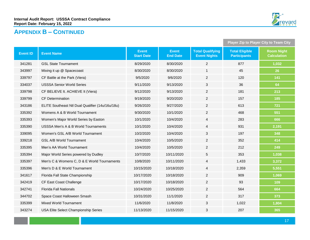

# **APPENDIX B – CONTINUED**

|                 |                                                  |                                   |                                 | <b>Player Zip to Player City to Team City</b>  |                                              |                                         |
|-----------------|--------------------------------------------------|-----------------------------------|---------------------------------|------------------------------------------------|----------------------------------------------|-----------------------------------------|
| <b>Event ID</b> | <b>Event Name</b>                                | <b>Event</b><br><b>Start Date</b> | <b>Event</b><br><b>End Date</b> | <b>Total Qualifying</b><br><b>Event Nights</b> | <b>Total Eligible</b><br><b>Participants</b> | <b>Room Night</b><br><b>Calculation</b> |
| 341281          | <b>GSL State Tournament</b>                      | 8/29/2020                         | 8/30/2020                       | $\overline{2}$                                 | 877                                          | 1,032                                   |
| 343997          | Mixing it up @ Spacecoast                        | 8/30/2020                         | 8/30/2020                       | 1                                              | 45                                           | 26                                      |
| 339797          | CF Battle at the Park (Viera)                    | 9/5/2020                          | 9/6/2020                        | $\overline{c}$                                 | 120                                          | 141                                     |
| 334037          | <b>USSSA Senior World Series</b>                 | 9/11/2020                         | 9/13/2020                       | 3                                              | 36                                           | 64                                      |
| 339798          | CF BELIEVE It. ACHIEVE It (Viera)                | 9/12/2020                         | 9/13/2020                       | $\overline{2}$                                 | 181                                          | 213                                     |
| 339799          | <b>CF Determination</b>                          | 9/19/2020                         | 9/20/2020                       | $\overline{2}$                                 | 157                                          | 185                                     |
| 343186          | ELITE Southeast Ntl Dual Qualifier (14u/16u/18u) | 9/26/2020                         | 9/27/2020                       | $\overline{2}$                                 | 613                                          | 721                                     |
| 335392          | Womens A & B World Tournament                    | 9/30/2020                         | 10/1/2020                       | $\overline{2}$                                 | 468                                          | 551                                     |
| 335393          | Women's Major World Series by Easton             | 10/1/2020                         | 10/4/2020                       | $\overline{4}$                                 | 283                                          | 666                                     |
| 335390          | USSSA Men's A & B World Tournaments              | 10/1/2020                         | 10/4/2020                       | 4                                              | 931                                          | 2,191                                   |
| 339095          | Women's GSL A/B World Tournament                 | 10/2/2020                         | 10/4/2020                       | 3                                              | 197                                          | 348                                     |
| 339218          | <b>GSL A/B World Tournament</b>                  | 10/4/2020                         | 10/5/2020                       | $\overline{2}$                                 | 352                                          | 414                                     |
| 335395          | Men's AA World Tournament                        | 10/4/2020                         | 10/5/2020                       | $\overline{2}$                                 | 212                                          | 249                                     |
| 335394          | Major World Series powered by Dudley             | 10/7/2020                         | 10/11/2020                      | 5                                              | 353                                          | 1,038                                   |
| 335397          | Men's C & Womens C, D & E World Tournaments      | 10/8/2020                         | 10/11/2020                      | $\overline{4}$                                 | 1,433                                        | 3,372                                   |
| 335396          | Men's D & E World Tournament                     | 10/15/2020                        | 10/18/2020                      | 4                                              | 2,359                                        | 5,551                                   |
| 341617          | Florida Fall State Championship                  | 10/17/2020                        | 10/18/2020                      | $\overline{c}$                                 | 909                                          | 1,069                                   |
| 342419          | CF East Coast Challenge                          | 10/17/2020                        | 10/18/2020                      | $\overline{2}$                                 | 93                                           | 109                                     |
| 342741          | <b>Florida Fall Nationals</b>                    | 10/24/2020                        | 10/25/2020                      | $\overline{c}$                                 | 564                                          | 664                                     |
| 344702          | Space Coast Halloween Smash                      | 10/31/2020                        | 11/1/2020                       | $\overline{c}$                                 | 317                                          | 373                                     |
| 335399          | Mixed World Tournament                           | 11/6/2020                         | 11/8/2020                       | 3                                              | 1,022                                        | 1,804                                   |
| 343274          | USA Elite Select Championship Series             | 11/13/2020                        | 11/15/2020                      | 3                                              | 207                                          | 365                                     |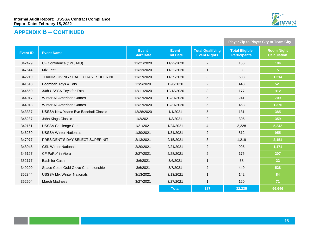

# **APPENDIX B – CONTINUED**

|                 |                                              |                                   |                                 | <b>Player Zip to Player City to Team City</b>  |                                              |                                         |
|-----------------|----------------------------------------------|-----------------------------------|---------------------------------|------------------------------------------------|----------------------------------------------|-----------------------------------------|
| <b>Event ID</b> | <b>Event Name</b>                            | <b>Event</b><br><b>Start Date</b> | <b>Event</b><br><b>End Date</b> | <b>Total Qualifying</b><br><b>Event Nights</b> | <b>Total Eligible</b><br><b>Participants</b> | <b>Room Night</b><br><b>Calculation</b> |
| 342429          | CF Confidence (12U/14U)                      | 11/21/2020                        | 11/22/2020                      | $\overline{2}$                                 | 156                                          | 184                                     |
| 347644          | Mix Fest                                     | 11/22/2020                        | 11/22/2020                      | $\mathbf{1}$                                   | 8                                            | 5 <sup>1</sup>                          |
| 342219          | THANKSGIVING SPACE COAST SUPER NIT           | 11/27/2020                        | 11/29/2020                      | 3                                              | 688                                          | 1,214                                   |
| 341618          | Boombah Toys 4 Tots                          | 12/5/2020                         | 12/6/2020                       | 2                                              | 443                                          | 521                                     |
| 344660          | 34th USSSA Toys for Tots                     | 12/11/2020                        | 12/13/2020                      | $\mathbf{3}$                                   | 177                                          | 312                                     |
| 344017          | Winter All American Games                    | 12/27/2020                        | 12/31/2020                      | $\overline{5}$                                 | 241                                          | 709                                     |
| 344018          | Winter All American Games                    | 12/27/2020                        | 12/31/2020                      | $5\phantom{.0}$                                | 468                                          | 1,376                                   |
| 343337          | <b>USSSA New Year's Eve Baseball Classic</b> | 12/28/2020                        | 1/1/2021                        | $\overline{5}$                                 | 131                                          | 385                                     |
| 346237          | John Kings Classic                           | 1/2/2021                          | 1/3/2021                        | $\overline{2}$                                 | 305                                          | 359                                     |
| 342151          | <b>USSSA Challenge Cup</b>                   | 1/21/2021                         | 1/24/2021                       | $\overline{4}$                                 | 2,228                                        | 5,242                                   |
| 346239          | <b>USSSA Winter Nationals</b>                | 1/30/2021                         | 1/31/2021                       | $\overline{2}$                                 | 812                                          | 955                                     |
| 347977          | PRESIDENT'S DAY SELECT SUPER NIT             | 2/13/2021                         | 2/15/2021                       | 3                                              | 1,219                                        | 2,151                                   |
| 348945          | <b>GSL Winter Nationals</b>                  | 2/20/2021                         | 2/21/2021                       | $\overline{2}$                                 | 995                                          | 1,171                                   |
| 346127          | CF PaRtY in Viera                            | 2/27/2021                         | 2/28/2021                       | $\overline{2}$                                 | 176                                          | 207                                     |
| 352177          | Bash for Cash                                | 3/6/2021                          | 3/6/2021                        | $\overline{1}$                                 | 38                                           | 22                                      |
| 349200          | Space Coast Gold Glove Championship          | 3/6/2021                          | 3/7/2021                        | $\overline{2}$                                 | 449                                          | 528                                     |
| 352344          | <b>USSSA Mix Winter Nationals</b>            | 3/13/2021                         | 3/13/2021                       | $\mathbf{1}$                                   | 142                                          | 84                                      |
| 352604          | <b>March Madness</b>                         | 3/27/2021                         | 3/27/2021                       | $\mathbf{1}$                                   | 120                                          | 71                                      |
|                 |                                              |                                   | <b>Total</b>                    | 187                                            | 32,235                                       | 66.646                                  |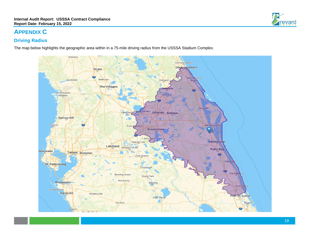# **APPENDIX C**

### **Driving Radius**

The map below highlights the geographic area within in a 75-mile driving radius from the USSSA Stadium Complex.